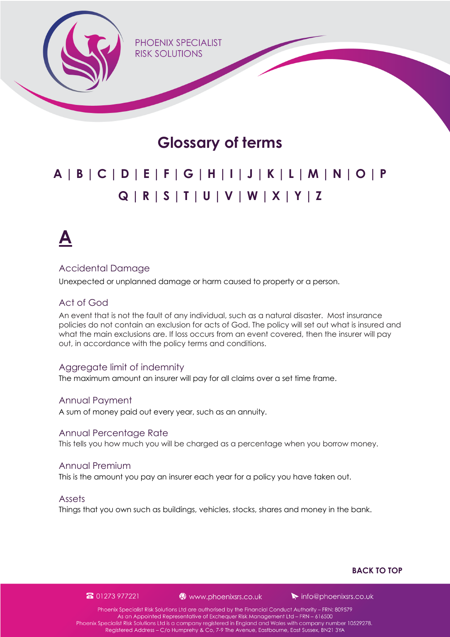<span id="page-0-0"></span>PHOFNIX SPECIALIST **RISK SOLUTIONS** 

### **Glossary of terms**

### **A | [B | C |](#page-1-0) [D | E |](#page-2-0) [F | G | H | I |](#page-3-0) [J | K](#page-4-0) [| L | M |](#page-5-0) [N | O | P](#page-6-0)  [Q | R |](#page-7-0) [S | T |](#page-8-0) [U | V | W | X | Y | Z](#page-9-0)**

**A**

#### Accidental Damage

Unexpected or unplanned damage or harm caused to property or a person.

#### Act of God

An event that is not the fault of any individual, such as a natural disaster. Most insurance policies do not contain an exclusion for acts of God. The policy will set out what is insured and what the main exclusions are. If loss occurs from an event covered, then the insurer will pay out, in accordance with the policy terms and conditions.

#### Aggregate limit of indemnity

The maximum amount an insurer will pay for all claims over a set time frame.

#### Annual Payment

A sum of money paid out every year, such as an annuity.

#### Annual Percentage Rate

This tells you how much you will be charged as a percentage when you borrow money.

#### Annual Premium

This is the amount you pay an insurer each year for a policy you have taken out.

#### Assets

Things that you own such as buildings, vehicles, stocks, shares and money in the bank.

#### **BACK TO TOP**

8 01273 977221

www.phoenixsrs.co.uk

 $\blacktriangleright$  info@phoenixsrs.co.uk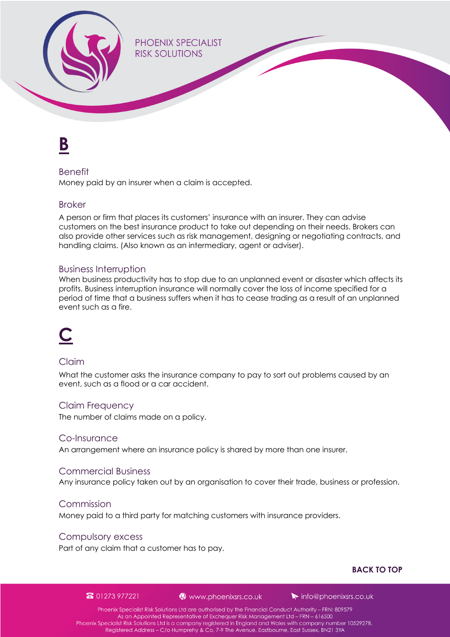<span id="page-1-0"></span>**PHOFNIX SPECIALIST RISK SOLUTIONS** 

### **B**

#### Benefit

Money paid by an insurer when a claim is accepted.

#### Broker

A person or firm that places its customers' insurance with an insurer. They can advise customers on the best insurance product to take out depending on their needs. Brokers can also provide other services such as risk management, designing or negotiating contracts, and handling claims. (Also known as an intermediary, agent or adviser).

#### Business Interruption

When business productivity has to stop due to an unplanned event or disaster which affects its profits. Business interruption insurance will normally cover the loss of income specified for a period of time that a business suffers when it has to cease trading as a result of an unplanned event such as a fire.

## **C**

#### Claim

What the customer asks the insurance company to pay to sort out problems caused by an event, such as a flood or a car accident.

#### Claim Frequency

The number of claims made on a policy.

#### Co-Insurance

An arrangement where an insurance policy is shared by more than one insurer.

#### Commercial Business

Any insurance policy taken out by an organisation to cover their trade, business or profession.

#### Commission

Money paid to a third party for matching customers with insurance providers.

#### Compulsory excess

Part of any claim that a customer has to pay.

#### **[BACK TO TOP](#page-0-0)**

#### 8 01273 977221

#### www.phoenixsrs.co.uk

 $\blacktriangleright$  info@phoenixsrs.co.uk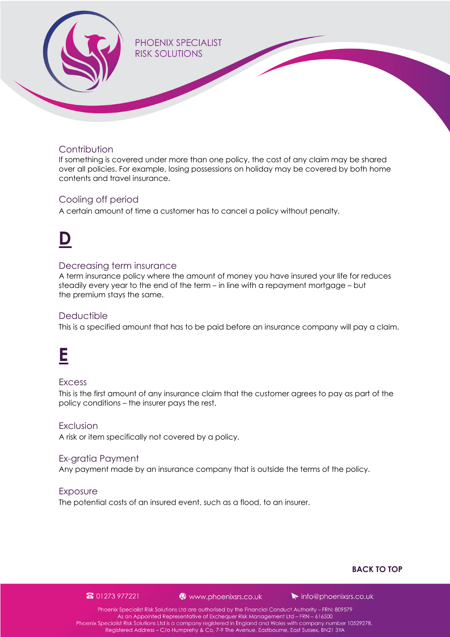<span id="page-2-0"></span>

#### **Contribution**

If something is covered under more than one policy, the cost of any claim may be shared over all policies. For example, losing possessions on holiday may be covered by both home contents and travel insurance.

#### Cooling off period

A certain amount of time a customer has to cancel a policy without penalty.

## **D**

#### Decreasing term insurance

A term insurance policy where the amount of money you have insured your life for reduces steadily every year to the end of the term – in line with a repayment mortgage – but the premium stays the same.

#### **Deductible**

This is a specified amount that has to be paid before an insurance company will pay a claim.

### **E**

#### **Excess**

This is the first amount of any insurance claim that the customer agrees to pay as part of the policy conditions – the insurer pays the rest.

#### **Exclusion**

A risk or item specifically not covered by a policy.

#### Ex-gratia Payment

Any payment made by an insurance company that is outside the terms of the policy.

#### Exposure

The potential costs of an insured event, such as a flood, to an insurer.

#### **[BACK TO TOP](#page-0-0)**

#### 8 01273 977221

#### www.phoenixsrs.co.uk

 $\blacktriangleright$  info@phoenixsrs.co.uk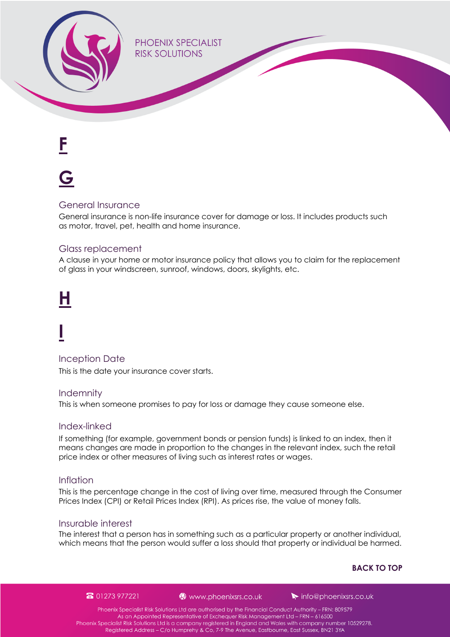<span id="page-3-0"></span>**PHOENIX SPECIALIST RISK SOLUTIONS** 

**F**

## **G**

#### General Insurance

General insurance is non-life insurance cover for damage or loss. It includes products such as motor, travel, pet, health and home insurance.

#### Glass replacement

A clause in your home or motor insurance policy that allows you to claim for the replacement of glass in your windscreen, sunroof, windows, doors, skylights, etc.

# **H**

# **I**

Inception Date

This is the date your insurance cover starts.

#### **Indemnity**

This is when someone promises to pay for loss or damage they cause someone else.

#### Index-linked

If something (for example, government bonds or pension funds) is linked to an index, then it means changes are made in proportion to the changes in the relevant index, such the retail price index or other measures of living such as interest rates or wages.

#### Inflation

This is the percentage change in the cost of living over time, measured through the Consumer Prices Index (CPI) or Retail Prices Index (RPI). As prices rise, the value of money falls.

#### Insurable interest

The interest that a person has in something such as a particular property or another individual, which means that the person would suffer a loss should that property or individual be harmed.

#### **[BACK TO TOP](#page-0-0)**

8 01273 977221

#### www.phoenixsrs.co.uk

 $\blacktriangleright$  info@phoenixsrs.co.uk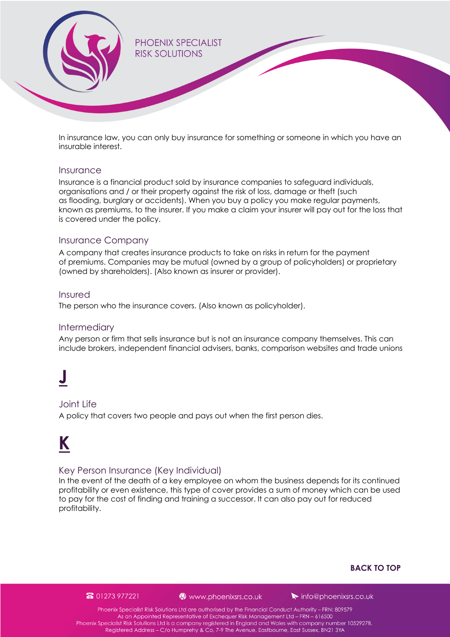<span id="page-4-0"></span>

In insurance law, you can only buy insurance for something or someone in which you have an insurable interest.

#### Insurance

Insurance is a financial product sold by insurance companies to safeguard individuals, organisations and / or their property against the risk of loss, damage or theft (such as flooding, burglary or accidents). When you buy a policy you make regular payments, known as premiums, to the insurer. If you make a claim your insurer will pay out for the loss that is covered under the policy.

#### Insurance Company

A company that creates insurance products to take on risks in return for the payment of premiums. Companies may be mutual (owned by a group of policyholders) or proprietary (owned by shareholders). (Also known as insurer or provider).

#### Insured

The person who the insurance covers. (Also known as policyholder).

#### Intermediary

Any person or firm that sells insurance but is not an insurance company themselves. This can include brokers, independent financial advisers, banks, comparison websites and trade unions

## **J**

#### Joint Life

A policy that covers two people and pays out when the first person dies.

### **K**

#### Key Person Insurance (Key Individual)

In the event of the death of a key employee on whom the business depends for its continued profitability or even existence, this type of cover provides a sum of money which can be used to pay for the cost of finding and training a successor. It can also pay out for reduced profitability.

#### **[BACK TO TOP](#page-0-0)**

#### 8 01273 977221

#### www.phoenixsrs.co.uk

 $\blacktriangleright$  info@phoenixsrs.co.uk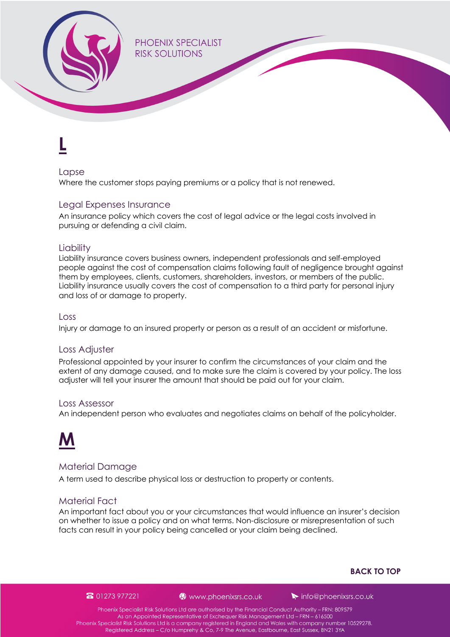<span id="page-5-0"></span>**PHOFNIX SPECIALIST RISK SOLUTIONS** 

## **L**

#### Lapse

Where the customer stops paying premiums or a policy that is not renewed.

#### Legal Expenses Insurance

An insurance policy which covers the cost of legal advice or the legal costs involved in pursuing or defending a civil claim.

#### **Liability**

Liability insurance covers business owners, independent professionals and self-employed people against the cost of compensation claims following fault of negligence brought against them by employees, clients, customers, shareholders, investors, or members of the public. Liability insurance usually covers the cost of compensation to a third party for personal injury and loss of or damage to property.

#### Loss

Injury or damage to an insured property or person as a result of an accident or misfortune.

#### Loss Adjuster

Professional appointed by your insurer to confirm the circumstances of your claim and the extent of any damage caused, and to make sure the claim is covered by your policy. The loss adjuster will tell your insurer the amount that should be paid out for your claim.

#### Loss Assessor

An independent person who evaluates and negotiates claims on behalf of the policyholder.



#### Material Damage

A term used to describe physical loss or destruction to property or contents.

#### Material Fact

An important fact about you or your circumstances that would influence an insurer's decision on whether to issue a policy and on what terms. Non-disclosure or misrepresentation of such facts can result in your policy being cancelled or your claim being declined.

#### **[BACK TO TOP](#page-0-0)**

#### 8 01273 977221

#### www.phoenixsrs.co.uk

 $\blacktriangleright$  info@phoenixsrs.co.uk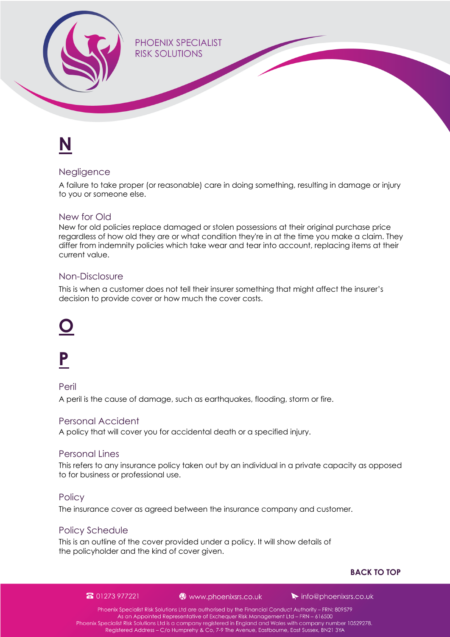<span id="page-6-0"></span>**PHOENIX SPECIALIST RISK SOLUTIONS** 

# **N**

#### **Negligence**

A failure to take proper (or reasonable) care in doing something, resulting in damage or injury to you or someone else.

#### New for Old

New for old policies replace damaged or stolen possessions at their original purchase price regardless of how old they are or what condition they're in at the time you make a claim. They differ from indemnity policies which take wear and tear into account, replacing items at their current value.

#### Non-Disclosure

This is when a customer does not tell their insurer something that might affect the insurer's decision to provide cover or how much the cover costs.

## **O**

## **P**

Peril A peril is the cause of damage, such as earthquakes, flooding, storm or fire.

#### Personal Accident

A policy that will cover you for accidental death or a specified injury.

#### Personal Lines

This refers to any insurance policy taken out by an individual in a private capacity as opposed to for business or professional use.

#### **Policy**

The insurance cover as agreed between the insurance company and customer.

#### Policy Schedule

This is an outline of the cover provided under a policy. It will show details of the policyholder and the kind of cover given.

#### **[BACK TO TOP](#page-0-0)**

8 01273 977221

www.phoenixsrs.co.uk

 $\blacktriangleright$  info@phoenixsrs.co.uk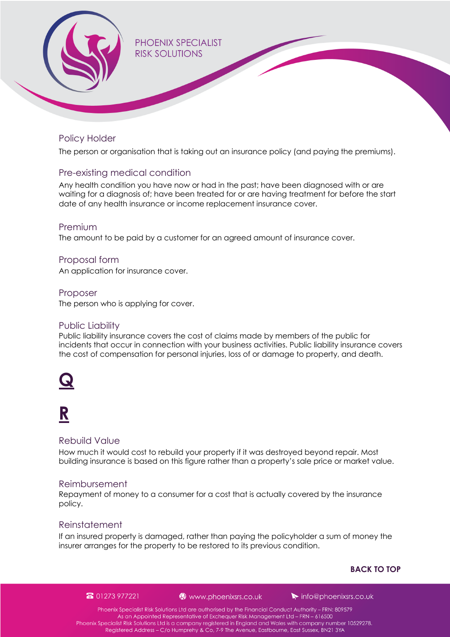<span id="page-7-0"></span>

#### Policy Holder

The person or organisation that is taking out an insurance policy (and paying the premiums).

#### Pre-existing medical condition

Any health condition you have now or had in the past; have been diagnosed with or are waiting for a diagnosis of; have been treated for or are having treatment for before the start date of any health insurance or income replacement insurance cover.

#### Premium

The amount to be paid by a customer for an agreed amount of insurance cover.

#### Proposal form

An application for insurance cover.

#### Proposer

The person who is applying for cover.

#### Public Liability

Public liability insurance covers the cost of claims made by members of the public for incidents that occur in connection with your business activities. Public liability insurance covers the cost of compensation for personal injuries, loss of or damage to property, and death.



### **R**

#### Rebuild Value

How much it would cost to rebuild your property if it was destroyed beyond repair. Most building insurance is based on this figure rather than a property's sale price or market value.

#### Reimbursement

Repayment of money to a consumer for a cost that is actually covered by the insurance policy.

#### Reinstatement

If an insured property is damaged, rather than paying the policyholder a sum of money the insurer arranges for the property to be restored to its previous condition.

#### **[BACK TO TOP](#page-0-0)**

8 01273 977221

www.phoenixsrs.co.uk

 $\blacktriangleright$  info@phoenixsrs.co.uk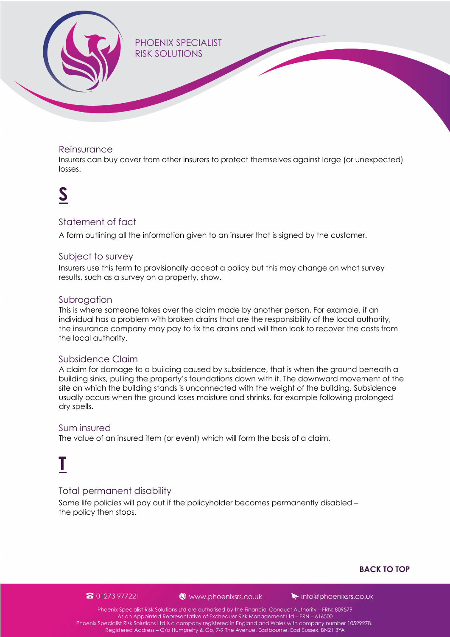<span id="page-8-0"></span>

#### Reinsurance

Insurers can buy cover from other insurers to protect themselves against large (or unexpected) losses.

### **S**

#### Statement of fact

A form outlining all the information given to an insurer that is signed by the customer.

#### Subject to survey

Insurers use this term to provisionally accept a policy but this may change on what survey results, such as a survey on a property, show.

#### Subrogation

This is where someone takes over the claim made by another person. For example, if an individual has a problem with broken drains that are the responsibility of the local authority, the insurance company may pay to fix the drains and will then look to recover the costs from the local authority.

#### Subsidence Claim

A claim for damage to a building caused by subsidence, that is when the ground beneath a building sinks, pulling the property's foundations down with it. The downward movement of the site on which the building stands is unconnected with the weight of the building. Subsidence usually occurs when the ground loses moisture and shrinks, for example following prolonged dry spells.

#### Sum insured

The value of an insured item (or event) which will form the basis of a claim.

## **T**

#### Total permanent disability

Some life policies will pay out if the policyholder becomes permanently disabled – the policy then stops.

#### **[BACK TO TOP](#page-0-0)**

#### 8 01273 977221

www.phoenixsrs.co.uk

 $\blacktriangleright$  info@phoenixsrs.co.uk